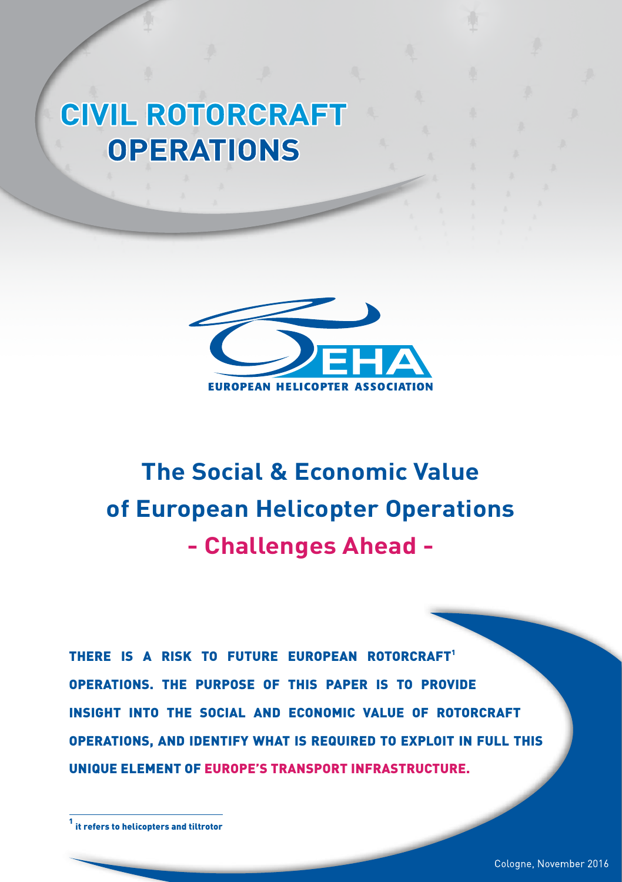# **CIVIL ROTORCRAFT OPERATIONS**



# **The Social & Economic Value of European Helicopter Operations - Challenges Ahead -**

THERE IS A RISK TO FUTURE EUROPEAN ROTORCRAFT<sup>1</sup> OPERATIONS. THE PURPOSE OF THIS PAPER IS TO PROVIDE INSIGHT INTO THE SOCIAL AND ECONOMIC VALUE OF ROTORCRAFT OPERATIONS, AND IDENTIFY WHAT IS REQUIRED TO EXPLOIT IN FULL THIS UNIQUE ELEMENT OF EUROPE'S TRANSPORT INFRASTRUCTURE.

<sup>1</sup> it refers to helicopters and tiltrotor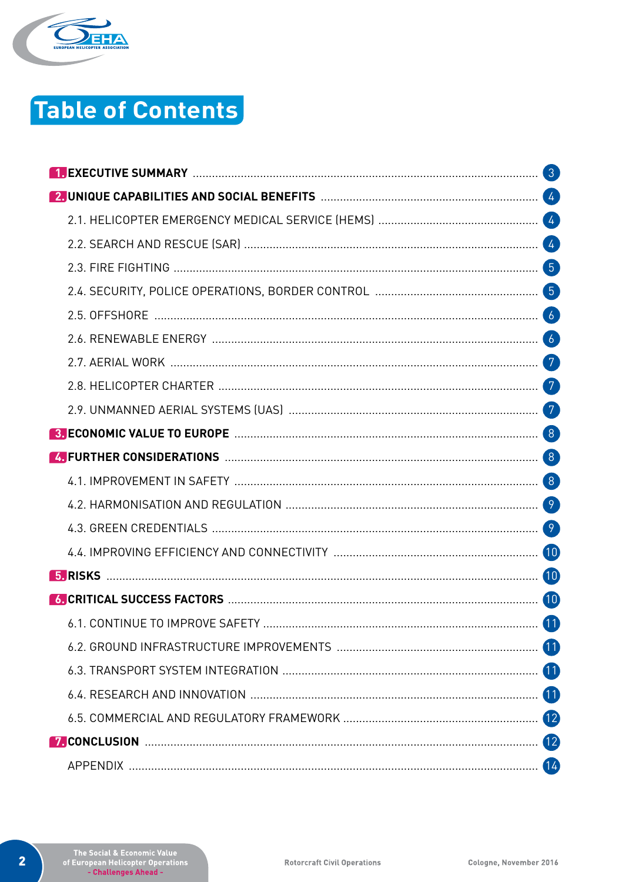

# **Table of Contents**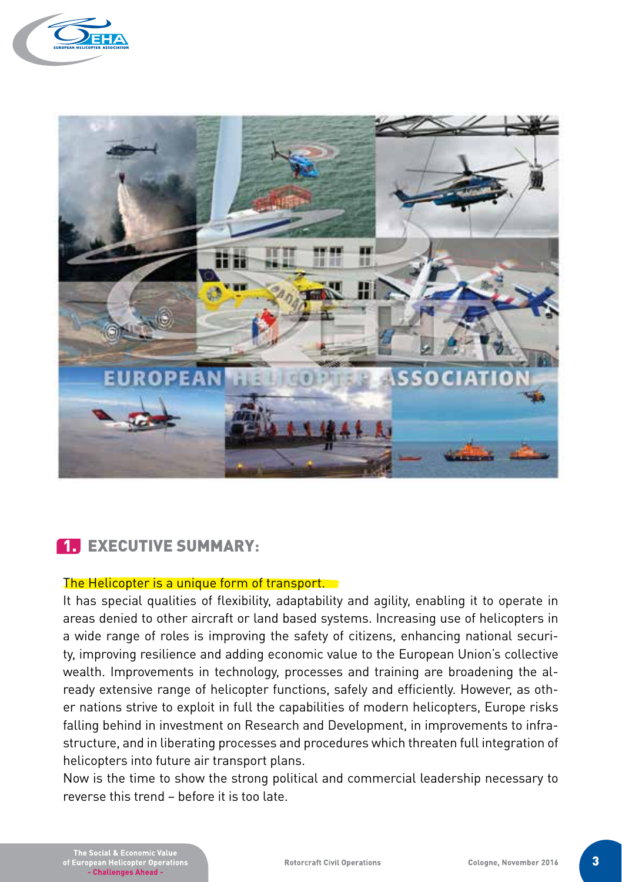



# 1. EXECUTIVE SUMMARY**:**

#### The Helicopter is a unique form of transport.

It has special qualities of flexibility, adaptability and agility, enabling it to operate in areas denied to other aircraft or land based systems. Increasing use of helicopters in a wide range of roles is improving the safety of citizens, enhancing national security, improving resilience and adding economic value to the European Union's collective wealth. Improvements in technology, processes and training are broadening the already extensive range of helicopter functions, safely and efficiently. However, as other nations strive to exploit in full the capabilities of modern helicopters, Europe risks falling behind in investment on Research and Development, in improvements to infrastructure, and in liberating processes and procedures which threaten full integration of helicopters into future air transport plans.

Now is the time to show the strong political and commercial leadership necessary to reverse this trend – before it is too late.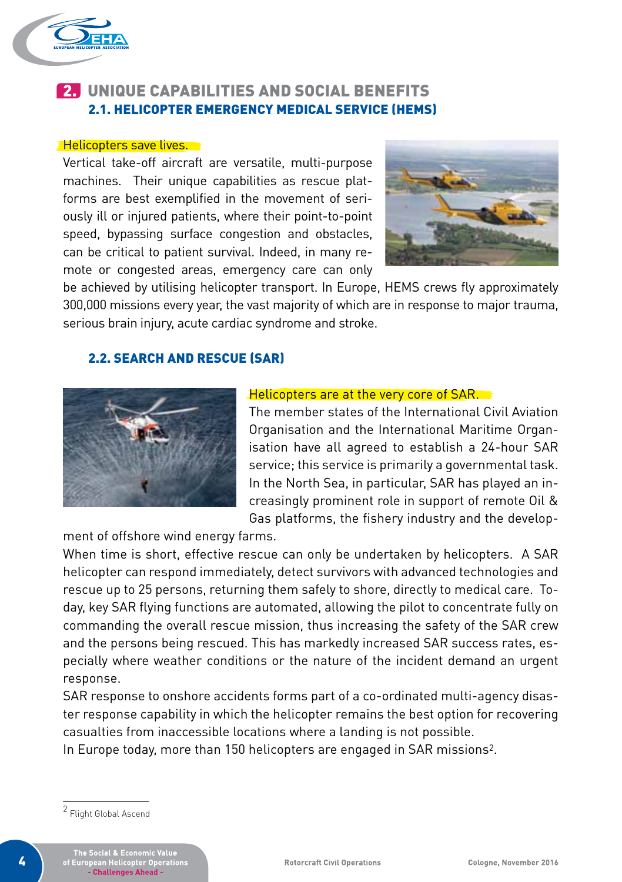

# 2. UNIQUE CAPABILITIES AND SOCIAL BENEFITS 2.1. HELICOPTER EMERGENCY MEDICAL SERVICE (HEMS)

#### **Thelicopters save lives.**

Vertical take-off aircraft are versatile, multi-purpose machines. Their unique capabilities as rescue platforms are best exemplified in the movement of seriously ill or injured patients, where their point-to-point speed, bypassing surface congestion and obstacles, can be critical to patient survival. Indeed, in many remote or congested areas, emergency care can only



be achieved by utilising helicopter transport. In Europe, HEMS crews fly approximately 300,000 missions every year, the vast majority of which are in response to major trauma, serious brain injury, acute cardiac syndrome and stroke.

### 2.2. SEARCH AND RESCUE (SAR)



#### Helicopters are at the very core of SAR.

The member states of the International Civil Aviation Organisation and the International Maritime Organisation have all agreed to establish a 24-hour SAR service; this service is primarily a governmental task. In the North Sea, in particular, SAR has played an increasingly prominent role in support of remote Oil & Gas platforms, the fishery industry and the develop-

ment of offshore wind energy farms.

When time is short, effective rescue can only be undertaken by helicopters. A SAR helicopter can respond immediately, detect survivors with advanced technologies and rescue up to 25 persons, returning them safely to shore, directly to medical care. Today, key SAR flying functions are automated, allowing the pilot to concentrate fully on commanding the overall rescue mission, thus increasing the safety of the SAR crew and the persons being rescued. This has markedly increased SAR success rates, especially where weather conditions or the nature of the incident demand an urgent response.

SAR response to onshore accidents forms part of a co-ordinated multi-agency disaster response capability in which the helicopter remains the best option for recovering casualties from inaccessible locations where a landing is not possible.

In Europe today, more than 150 helicopters are engaged in SAR missions2.

<sup>2</sup> Flight Global Ascend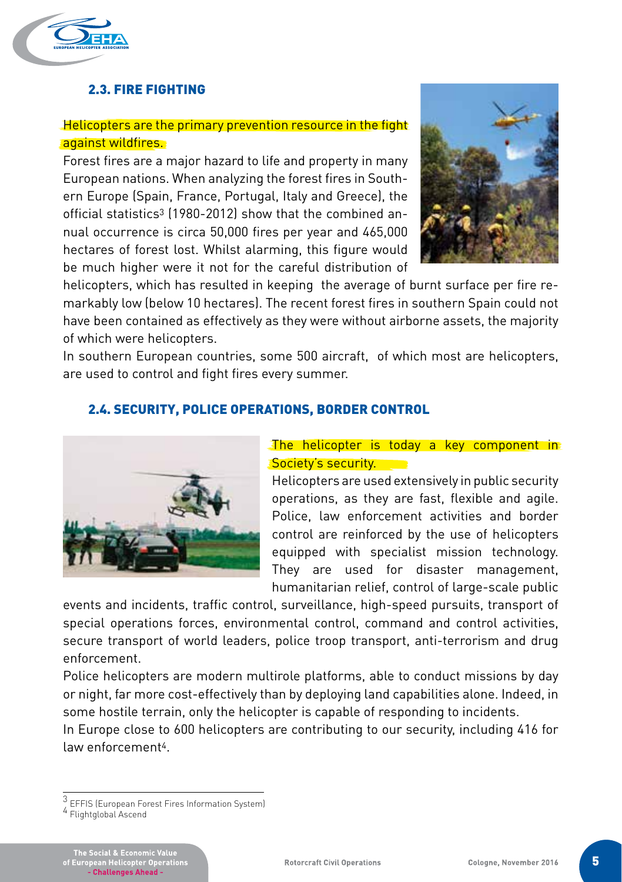

# 2.3. FIRE FIGHTING

# Helicopters are the primary prevention resource in the fight against wildfires.

Forest fires are a major hazard to life and property in many European nations. When analyzing the forest fires in Southern Europe (Spain, France, Portugal, Italy and Greece), the official statistics<sup>3</sup> (1980-2012) show that the combined annual occurrence is circa 50,000 fires per year and 465,000 hectares of forest lost. Whilst alarming, this figure would be much higher were it not for the careful distribution of



helicopters, which has resulted in keeping the average of burnt surface per fire remarkably low (below 10 hectares). The recent forest fires in southern Spain could not have been contained as effectively as they were without airborne assets, the majority of which were helicopters.

In southern European countries, some 500 aircraft, of which most are helicopters, are used to control and fight fires every summer.

# 2.4. SECURITY, POLICE OPERATIONS, BORDER CONTROL



## The helicopter is today a key component in Society's security.

Helicopters are used extensively in public security operations, as they are fast, flexible and agile. Police, law enforcement activities and border control are reinforced by the use of helicopters equipped with specialist mission technology. They are used for disaster management, humanitarian relief, control of large-scale public

events and incidents, traffic control, surveillance, high-speed pursuits, transport of special operations forces, environmental control, command and control activities, secure transport of world leaders, police troop transport, anti-terrorism and drug enforcement.

Police helicopters are modern multirole platforms, able to conduct missions by day or night, far more cost-effectively than by deploying land capabilities alone. Indeed, in some hostile terrain, only the helicopter is capable of responding to incidents.

In Europe close to 600 helicopters are contributing to our security, including 416 for law enforcement4.

 $\frac{3}{4}$  EFFIS (European Forest Fires Information System)<br>4 Flightglobal Ascend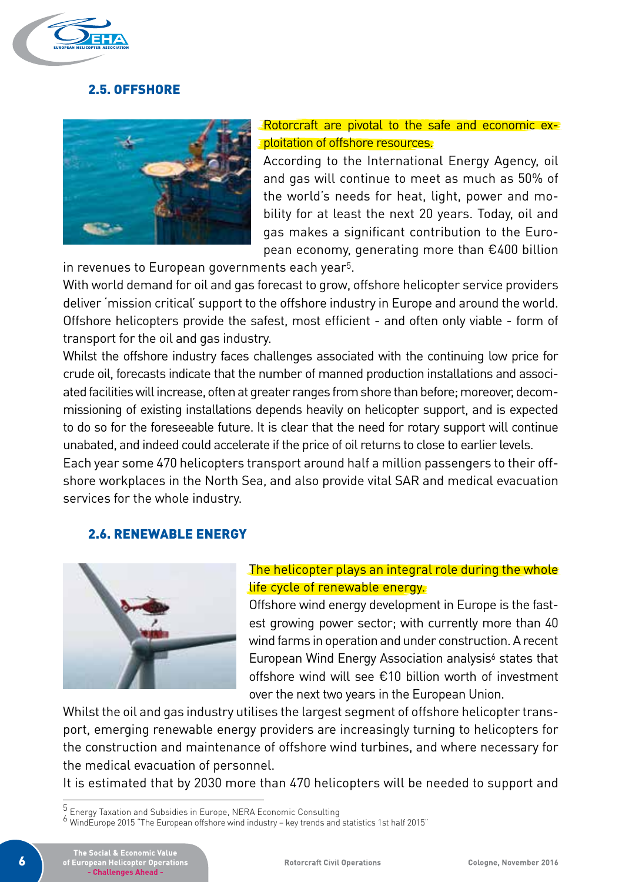

## 2.5. OFFSHORE



# Rotorcraft are pivotal to the safe and economic exploitation of offshore resources.

According to the International Energy Agency, oil and gas will continue to meet as much as 50% of the world's needs for heat, light, power and mobility for at least the next 20 years. Today, oil and gas makes a significant contribution to the European economy, generating more than €400 billion

in revenues to European governments each year5.

With world demand for oil and gas forecast to grow, offshore helicopter service providers deliver 'mission critical' support to the offshore industry in Europe and around the world. Offshore helicopters provide the safest, most efficient - and often only viable - form of transport for the oil and gas industry.

Whilst the offshore industry faces challenges associated with the continuing low price for crude oil, forecasts indicate that the number of manned production installations and associated facilities will increase, often at greater ranges from shore than before; moreover, decommissioning of existing installations depends heavily on helicopter support, and is expected to do so for the foreseeable future. It is clear that the need for rotary support will continue unabated, and indeed could accelerate if the price of oil returns to close to earlier levels.

Each year some 470 helicopters transport around half a million passengers to their offshore workplaces in the North Sea, and also provide vital SAR and medical evacuation services for the whole industry.

### 2.6. RENEWABLE ENERGY



# The helicopter plays an integral role during the whole life cycle of renewable energy.

Offshore wind energy development in Europe is the fastest growing power sector; with currently more than 40 wind farms in operation and under construction. A recent European Wind Energy Association analysis<sup>6</sup> states that offshore wind will see €10 billion worth of investment over the next two years in the European Union.

Whilst the oil and gas industry utilises the largest segment of offshore helicopter transport, emerging renewable energy providers are increasingly turning to helicopters for the construction and maintenance of offshore wind turbines, and where necessary for the medical evacuation of personnel.

It is estimated that by 2030 more than 470 helicopters will be needed to support and

 $^5$  Energy Taxation and Subsidies in Europe, NERA Economic Consulting<br>6 WindEurope 2015 "The European offshore wind industry – key trends and statistics 1st half 2015"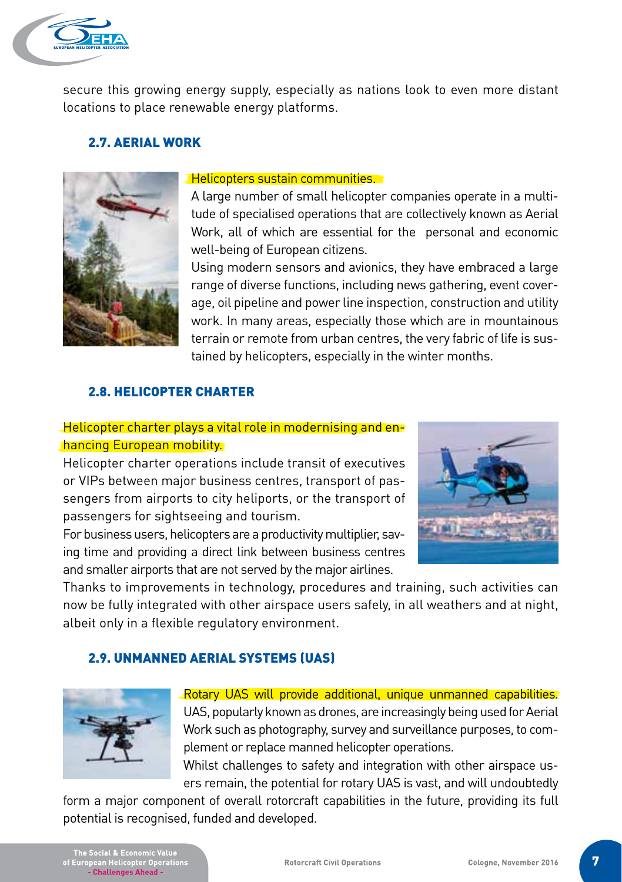The Social & Economic Value<br>European Helicopter Operations<br>- Challenges Ahead -

**Rotorcraft Civil Operations** 

plement or replace manned helicopter operations.

form a major component of overall rotorcraft capabilities in the future, providing its full

Rotary UAS will provide additional, unique unmanned capabilities. UAS, popularly known as drones, are increasingly being used for Aerial Work such as photography, survey and surveillance purposes, to com-

Whilst challenges to safety and integration with other airspace users remain, the potential for rotary UAS is vast, and will undoubtedly

Cologne, November 2016





2.7. AERIAL WORK

#### Helicopters sustain communities.

secure this growing energy supply, especially as nations look to even more distant

A large number of small helicopter companies operate in a multitude of specialised operations that are collectively known as Aerial Work, all of which are essential for the personal and economic well-being of European citizens.

Using modern sensors and avionics, they have embraced a large range of diverse functions, including news gathering, event coverage, oil pipeline and power line inspection, construction and utility work. In many areas, especially those which are in mountainous terrain or remote from urban centres, the very fabric of life is sustained by helicopters, especially in the winter months.

# 2.8. HELICOPTER CHARTER

locations to place renewable energy platforms.

# Helicopter charter plays a vital role in modernising and enhancing European mobility.

Helicopter charter operations include transit of executives or VIPs between major business centres, transport of passengers from airports to city heliports, or the transport of passengers for sightseeing and tourism.

For business users, helicopters are a productivity multiplier, saving time and providing a direct link between business centres and smaller airports that are not served by the major airlines.

Thanks to improvements in technology, procedures and training, such activities can now be fully integrated with other airspace users safely, in all weathers and at night, albeit only in a flexible regulatory environment.



potential is recognised, funded and developed.



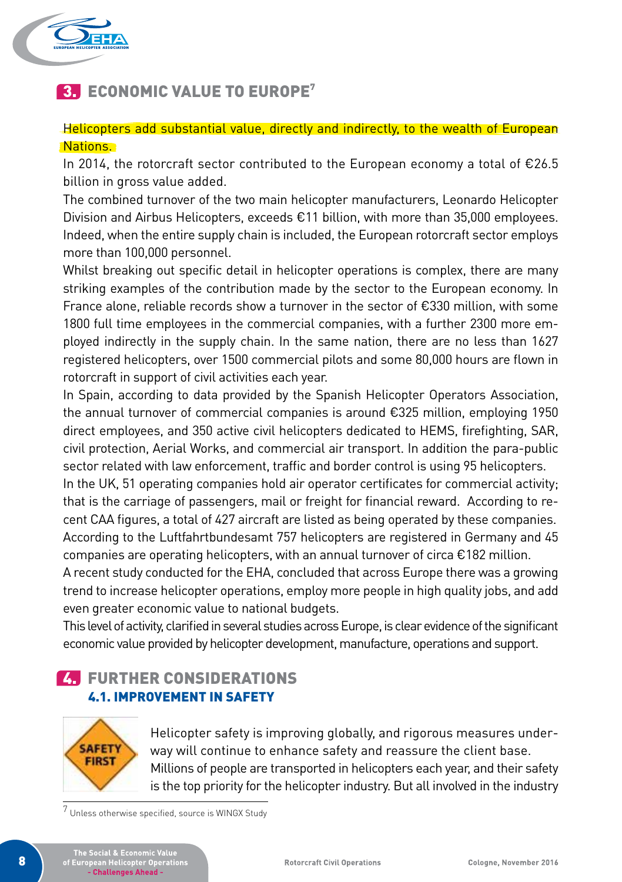

# **3. ECONOMIC VALUE TO EUROPE**<sup>7</sup>

### Helicopters add substantial value, directly and indirectly, to the wealth of European Nations.

In 2014, the rotorcraft sector contributed to the European economy a total of  $E26.5$ billion in gross value added.

The combined turnover of the two main helicopter manufacturers, Leonardo Helicopter Division and Airbus Helicopters, exceeds €11 billion, with more than 35,000 employees. Indeed, when the entire supply chain is included, the European rotorcraft sector employs more than 100,000 personnel.

Whilst breaking out specific detail in helicopter operations is complex, there are many striking examples of the contribution made by the sector to the European economy. In France alone, reliable records show a turnover in the sector of €330 million, with some 1800 full time employees in the commercial companies, with a further 2300 more employed indirectly in the supply chain. In the same nation, there are no less than 1627 registered helicopters, over 1500 commercial pilots and some 80,000 hours are flown in rotorcraft in support of civil activities each year.

In Spain, according to data provided by the Spanish Helicopter Operators Association, the annual turnover of commercial companies is around €325 million, employing 1950 direct employees, and 350 active civil helicopters dedicated to HEMS, firefighting, SAR, civil protection, Aerial Works, and commercial air transport. In addition the para-public sector related with law enforcement, traffic and border control is using 95 helicopters.

In the UK, 51 operating companies hold air operator certificates for commercial activity; that is the carriage of passengers, mail or freight for financial reward. According to recent CAA figures, a total of 427 aircraft are listed as being operated by these companies. According to the Luftfahrtbundesamt 757 helicopters are registered in Germany and 45 companies are operating helicopters, with an annual turnover of circa €182 million.

A recent study conducted for the EHA, concluded that across Europe there was a growing trend to increase helicopter operations, employ more people in high quality jobs, and add even greater economic value to national budgets.

This level of activity, clarified in several studies across Europe, is clear evidence of the significant economic value provided by helicopter development, manufacture, operations and support.

# **74 FURTHER CONSIDERATIONS** 4.1. IMPROVEMENT IN SAFETY



Helicopter safety is improving globally, and rigorous measures underway will continue to enhance safety and reassure the client base. Millions of people are transported in helicopters each year, and their safety is the top priority for the helicopter industry. But all involved in the industry

<sup>7</sup> Unless otherwise specified, source is WINGX Study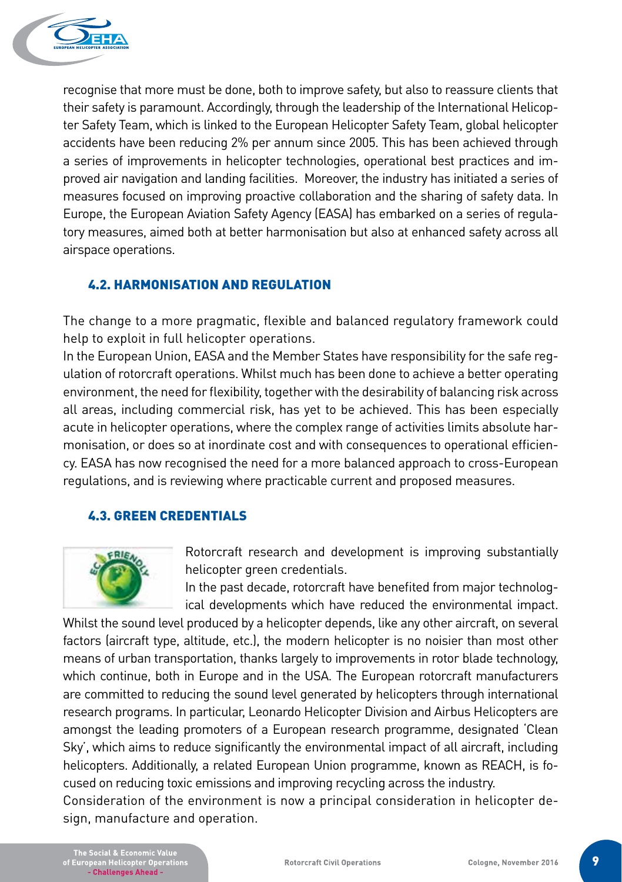

recognise that more must be done, both to improve safety, but also to reassure clients that their safety is paramount. Accordingly, through the leadership of the International Helicopter Safety Team, which is linked to the European Helicopter Safety Team, global helicopter accidents have been reducing 2% per annum since 2005. This has been achieved through a series of improvements in helicopter technologies, operational best practices and improved air navigation and landing facilities. Moreover, the industry has initiated a series of measures focused on improving proactive collaboration and the sharing of safety data. In Europe, the European Aviation Safety Agency (EASA) has embarked on a series of regulatory measures, aimed both at better harmonisation but also at enhanced safety across all airspace operations.

# 4.2. HARMONISATION AND REGULATION

The change to a more pragmatic, flexible and balanced regulatory framework could help to exploit in full helicopter operations.

In the European Union, EASA and the Member States have responsibility for the safe regulation of rotorcraft operations. Whilst much has been done to achieve a better operating environment, the need for flexibility, together with the desirability of balancing risk across all areas, including commercial risk, has yet to be achieved. This has been especially acute in helicopter operations, where the complex range of activities limits absolute harmonisation, or does so at inordinate cost and with consequences to operational efficiency. EASA has now recognised the need for a more balanced approach to cross-European regulations, and is reviewing where practicable current and proposed measures.

# 4.3. GREEN CREDENTIALS



Rotorcraft research and development is improving substantially helicopter green credentials.

In the past decade, rotorcraft have benefited from major technological developments which have reduced the environmental impact.

Whilst the sound level produced by a helicopter depends, like any other aircraft, on several factors (aircraft type, altitude, etc.), the modern helicopter is no noisier than most other means of urban transportation, thanks largely to improvements in rotor blade technology, which continue, both in Europe and in the USA. The European rotorcraft manufacturers are committed to reducing the sound level generated by helicopters through international research programs. In particular, Leonardo Helicopter Division and Airbus Helicopters are amongst the leading promoters of a European research programme, designated 'Clean Sky', which aims to reduce significantly the environmental impact of all aircraft, including helicopters. Additionally, a related European Union programme, known as REACH, is focused on reducing toxic emissions and improving recycling across the industry.

Consideration of the environment is now a principal consideration in helicopter design, manufacture and operation.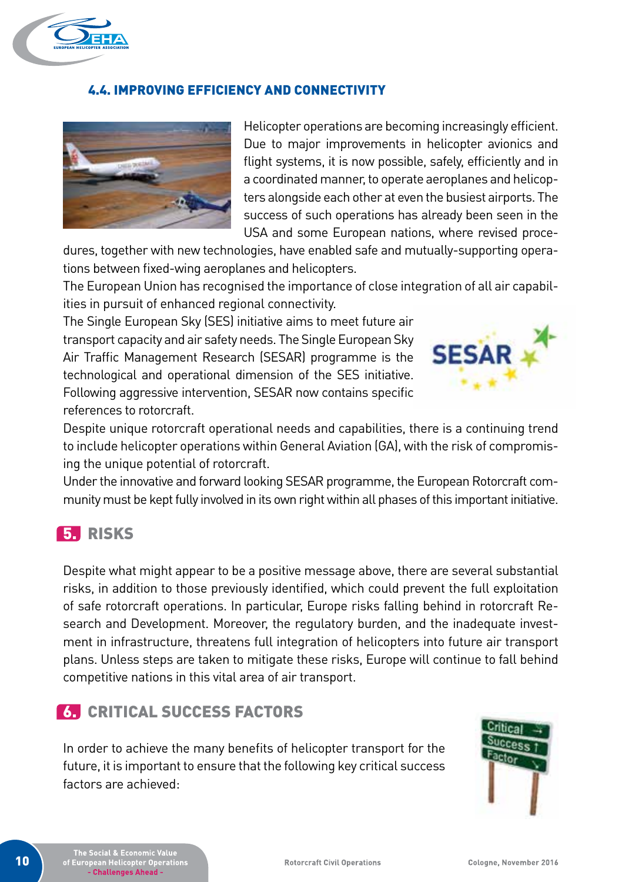

# 4.4. IMPROVING EFFICIENCY AND CONNECTIVITY



Helicopter operations are becoming increasingly efficient. Due to major improvements in helicopter avionics and flight systems, it is now possible, safely, efficiently and in a coordinated manner, to operate aeroplanes and helicopters alongside each other at even the busiest airports. The success of such operations has already been seen in the USA and some European nations, where revised proce-

dures, together with new technologies, have enabled safe and mutually-supporting operations between fixed-wing aeroplanes and helicopters.

The European Union has recognised the importance of close integration of all air capabilities in pursuit of enhanced regional connectivity.

The Single European Sky (SES) initiative aims to meet future air transport capacity and air safety needs. The Single European Sky Air Traffic Management Research (SESAR) programme is the technological and operational dimension of the SES initiative. Following aggressive intervention, SESAR now contains specific references to rotorcraft.



Despite unique rotorcraft operational needs and capabilities, there is a continuing trend to include helicopter operations within General Aviation (GA), with the risk of compromising the unique potential of rotorcraft.

Under the innovative and forward looking SESAR programme, the European Rotorcraft community must be kept fully involved in its own right within all phases of this important initiative.

# 5. RISKS

Despite what might appear to be a positive message above, there are several substantial risks, in addition to those previously identified, which could prevent the full exploitation of safe rotorcraft operations. In particular, Europe risks falling behind in rotorcraft Research and Development. Moreover, the regulatory burden, and the inadequate investment in infrastructure, threatens full integration of helicopters into future air transport plans. Unless steps are taken to mitigate these risks, Europe will continue to fall behind competitive nations in this vital area of air transport.

# 6. CRITICAL SUCCESS FACTORS

In order to achieve the many benefits of helicopter transport for the future, it is important to ensure that the following key critical success factors are achieved:

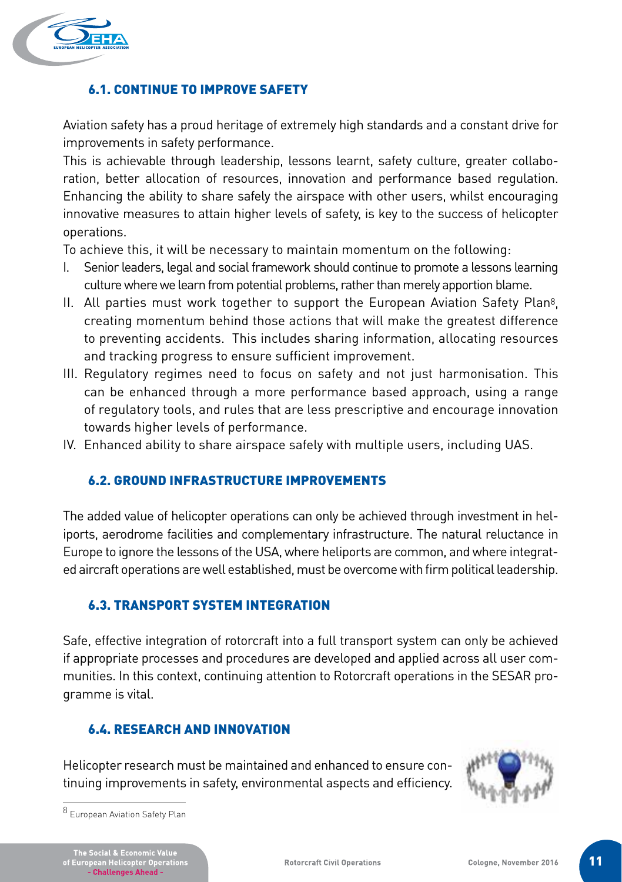

# 6.1. CONTINUE TO IMPROVE SAFETY

Aviation safety has a proud heritage of extremely high standards and a constant drive for improvements in safety performance.

This is achievable through leadership, lessons learnt, safety culture, greater collaboration, better allocation of resources, innovation and performance based regulation. Enhancing the ability to share safely the airspace with other users, whilst encouraging innovative measures to attain higher levels of safety, is key to the success of helicopter operations.

To achieve this, it will be necessary to maintain momentum on the following:

- I. Senior leaders, legal and social framework should continue to promote a lessons learning culture where we learn from potential problems, rather than merely apportion blame.
- II. All parties must work together to support the European Aviation Safety Plan8, creating momentum behind those actions that will make the greatest difference to preventing accidents. This includes sharing information, allocating resources and tracking progress to ensure sufficient improvement.
- III. Regulatory regimes need to focus on safety and not just harmonisation. This can be enhanced through a more performance based approach, using a range of regulatory tools, and rules that are less prescriptive and encourage innovation towards higher levels of performance.
- IV. Enhanced ability to share airspace safely with multiple users, including UAS.

### 6.2. GROUND INFRASTRUCTURE IMPROVEMENTS

The added value of helicopter operations can only be achieved through investment in heliports, aerodrome facilities and complementary infrastructure. The natural reluctance in Europe to ignore the lessons of the USA, where heliports are common, and where integrated aircraft operations are well established, must be overcome with firm political leadership.

### 6.3. TRANSPORT SYSTEM INTEGRATION

Safe, effective integration of rotorcraft into a full transport system can only be achieved if appropriate processes and procedures are developed and applied across all user communities. In this context, continuing attention to Rotorcraft operations in the SESAR programme is vital.

### 6.4. RESEARCH AND INNOVATION

Helicopter research must be maintained and enhanced to ensure continuing improvements in safety, environmental aspects and efficiency.



<sup>8</sup> European Aviation Safety Plan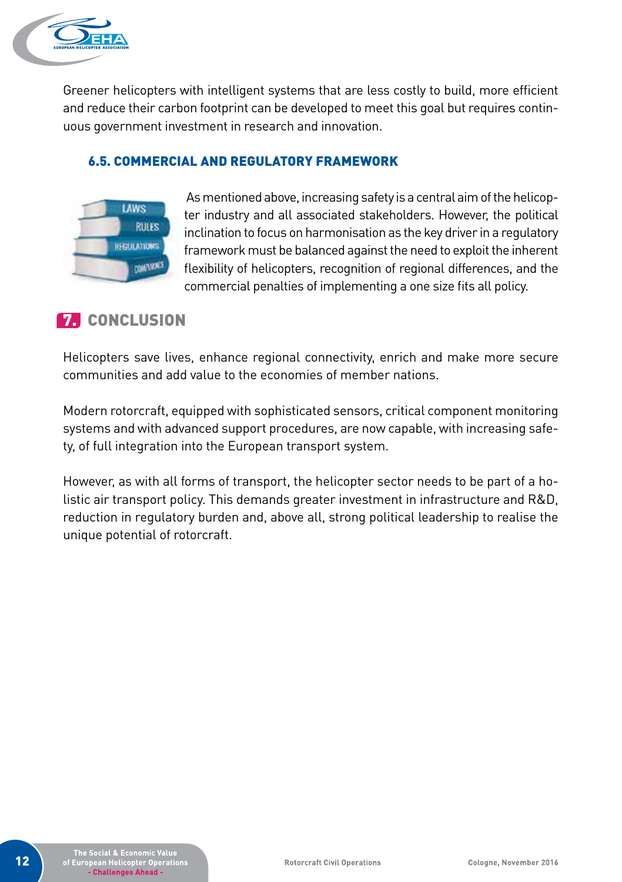

Greener helicopters with intelligent systems that are less costly to build, more efficient and reduce their carbon footprint can be developed to meet this goal but requires continuous government investment in research and innovation.

### 6.5. COMMERCIAL AND REGULATORY FRAMEWORK



 As mentioned above, increasing safety is a central aim of the helicopter industry and all associated stakeholders. However, the political inclination to focus on harmonisation as the key driver in a regulatory framework must be balanced against the need to exploit the inherent flexibility of helicopters, recognition of regional differences, and the commercial penalties of implementing a one size fits all policy.

# **7. CONCLUSION**

Helicopters save lives, enhance regional connectivity, enrich and make more secure communities and add value to the economies of member nations.

Modern rotorcraft, equipped with sophisticated sensors, critical component monitoring systems and with advanced support procedures, are now capable, with increasing safety, of full integration into the European transport system.

However, as with all forms of transport, the helicopter sector needs to be part of a holistic air transport policy. This demands greater investment in infrastructure and R&D, reduction in regulatory burden and, above all, strong political leadership to realise the unique potential of rotorcraft.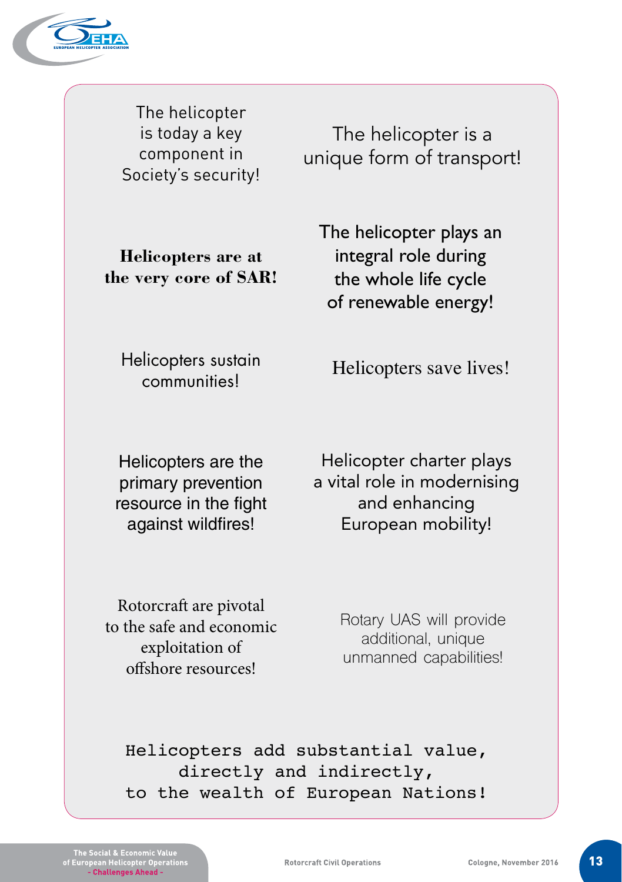

The helicopter is today a key component in Society's security!

The helicopter is a unique form of transport!

**Helicopters are at the very core of SAR!** The helicopter plays an integral role during the whole life cycle of renewable energy!

Helicopters sustain communities!

Helicopters save lives!

Helicopters are the primary prevention resource in the fight against wildfires!

Helicopter charter plays a vital role in modernising and enhancing European mobility!

Rotorcraft are pivotal to the safe and economic exploitation of offshore resources!

Rotary UAS will provide additional, unique unmanned capabilities!

Helicopters add substantial value, directly and indirectly, to the wealth of European Nations!

Social & Economic Va<br>opean Helicopter Oper<br>- Challenges Ahead -

**Rotorcraft Civil Operations**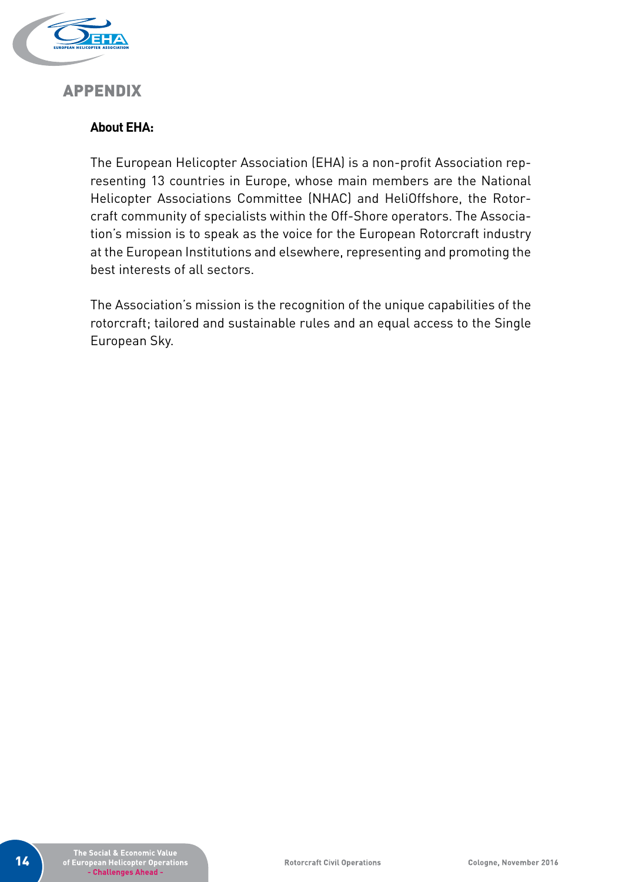

# APPENDIX

# **About EHA:**

The European Helicopter Association (EHA) is a non-profit Association representing 13 countries in Europe, whose main members are the National Helicopter Associations Committee (NHAC) and HeliOffshore, the Rotorcraft community of specialists within the Off-Shore operators. The Association's mission is to speak as the voice for the European Rotorcraft industry at the European Institutions and elsewhere, representing and promoting the best interests of all sectors.

The Association's mission is the recognition of the unique capabilities of the rotorcraft; tailored and sustainable rules and an equal access to the Single European Sky.